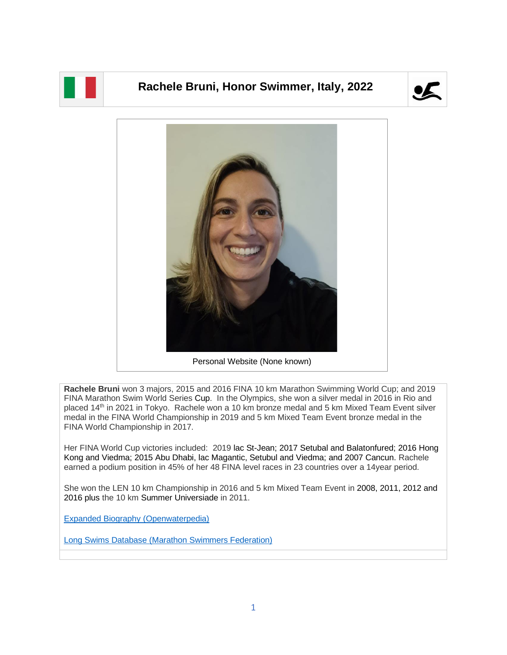

## **Rachele Bruni, Honor Swimmer, Italy, 2022**





**Rachele Bruni** won 3 majors, 2015 and 2016 FINA 10 km Marathon Swimming World Cup; and 2019 FINA Marathon Swim World Series Cup. In the Olympics, she won a silver medal in 2016 in Rio and placed 14<sup>th</sup> in 2021 in Tokyo. Rachele won a 10 km bronze medal and 5 km Mixed Team Event silver medal in the FINA World Championship in 2019 and 5 km Mixed Team Event bronze medal in the FINA World Championship in 2017.

Her FINA World Cup victories included: 2019 lac St-Jean; 2017 Setubal and Balatonfured; 2016 Hong Kong and Viedma; 2015 Abu Dhabi, lac Magantic, Setubul and Viedma; and 2007 Cancun. Rachele earned a podium position in 45% of her 48 FINA level races in 23 countries over a 14year period.

She won the LEN 10 km Championship in 2016 and 5 km Mixed Team Event in 2008, 2011, 2012 and 2016 plus the 10 km Summer Universiade in 2011.

[Expanded Biography](https://www.openwaterpedia.com/wiki/Rachele_Bruni) (Openwaterpedia)

Long Swims Database [\(Marathon Swimmers Federation\)](https://longswims.com/p/rachele-bruni/)